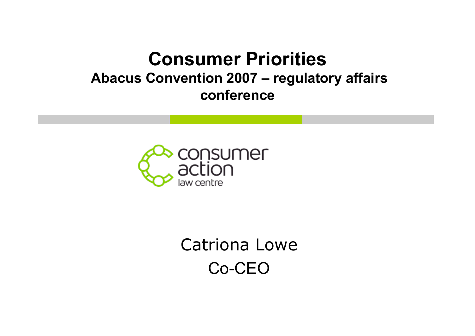#### **Consumer Priorities Abacus Convention 2007 – regulatory affairs conference**



Catriona Lowe Co-CEO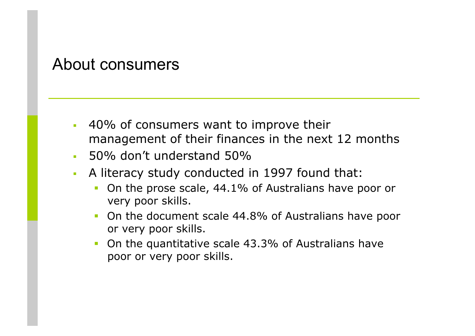#### About consumers

- 40% of consumers want to improve their management of their finances in the next 12 months
- 50% don't understand 50%
- A literacy study conducted in 1997 found that:
	- On the prose scale, 44.1% of Australians have poor or very poor skills.
	- On the document scale 44.8% of Australians have poor or very poor skills.
	- On the quantitative scale 43.3% of Australians have poor or very poor skills.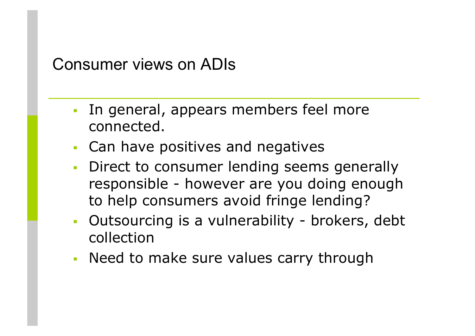#### Consumer views on ADIs

- In general, appears members feel more connected.
- Can have positives and negatives
- Direct to consumer lending seems generally responsible - however are you doing enough to help consumers avoid fringe lending?
- Outsourcing is a vulnerability brokers, debt collection
- Need to make sure values carry through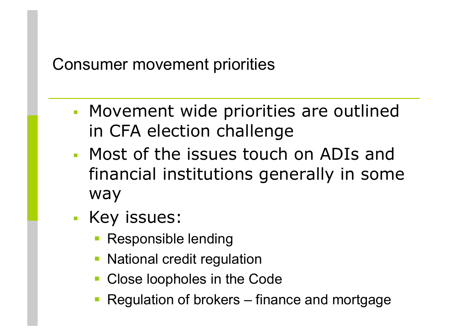### Consumer movement priorities

- Movement wide priorities are outlined in CFA election challenge
- Most of the issues touch on ADIs and financial institutions generally in some way
- **Key issues:** 
	- Responsible lending
	- National credit regulation
	- Close loopholes in the Code
	- **Regulation of brokers** finance and mortgage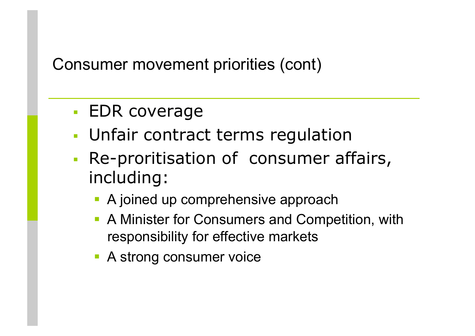Consumer movement priorities (cont)

- EDR coverage
- Unfair contract terms regulation
- **Re-proritisation of consumer affairs,** including:
	- A joined up comprehensive approach
	- A Minister for Consumers and Competition, with responsibility for effective markets
	- **A strong consumer voice**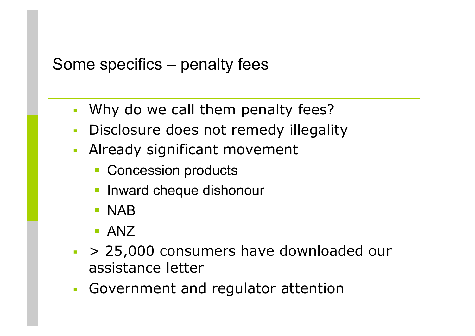# Some specifics – penalty fees

- Why do we call them penalty fees?
- **Disclosure does not remedy illegality**
- Already significant movement
	- **Concession products**
	- **Inward cheque dishonour**
	- **NAB**
	- **ANZ**
- $\sim$  > 25,000 consumers have downloaded our assistance letter
- Government and regulator attention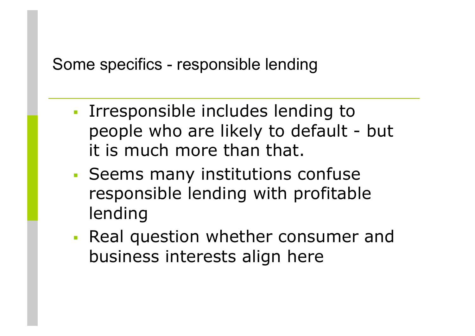# Some specifics - responsible lending

- **IFFELD** Irresponsible includes lending to people who are likely to default - but it is much more than that.
- Seems many institutions confuse responsible lending with profitable lending
- Real question whether consumer and business interests align here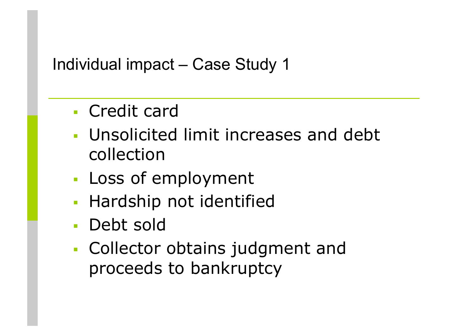# Individual impact – Case Study 1

- Credit card
- Unsolicited limit increases and debt collection
- **Loss of employment**
- **Hardship not identified**
- Debt sold
- Collector obtains judgment and proceeds to bankruptcy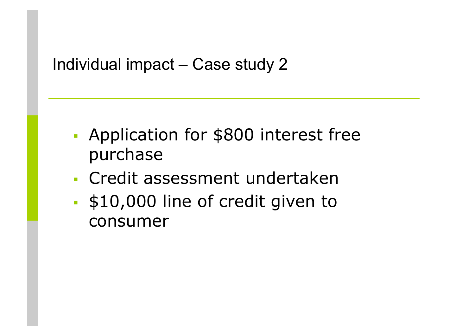# Individual impact – Case study 2

- **Application for \$800 interest free** purchase
- Credit assessment undertaken
- **\$10,000 line of credit given to** consumer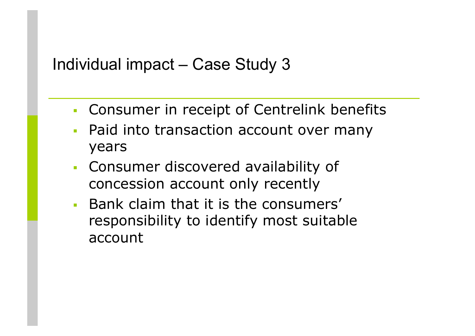#### Individual impact – Case Study 3

- Consumer in receipt of Centrelink benefits
- **Paid into transaction account over many** years
- Consumer discovered availability of concession account only recently
- **Bank claim that it is the consumers'** responsibility to identify most suitable account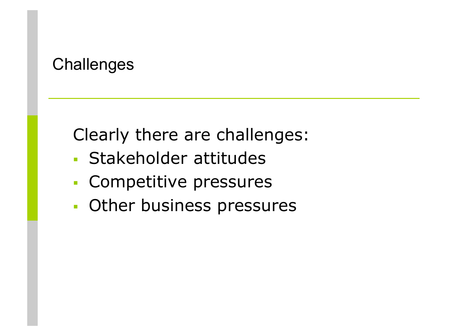#### **Challenges**

Clearly there are challenges:

- Stakeholder attitudes
- Competitive pressures
- Other business pressures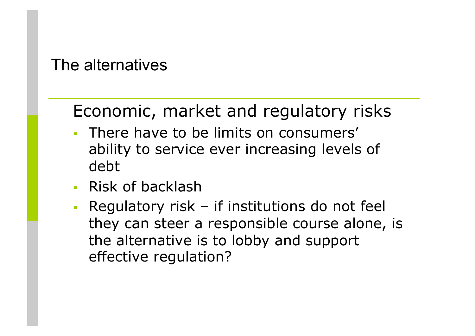The alternatives

# Economic, market and regulatory risks

- **There have to be limits on consumers'** ability to service ever increasing levels of debt
- **Risk of backlash**
- Regulatory risk if institutions do not feel they can steer a responsible course alone, is the alternative is to lobby and support effective regulation?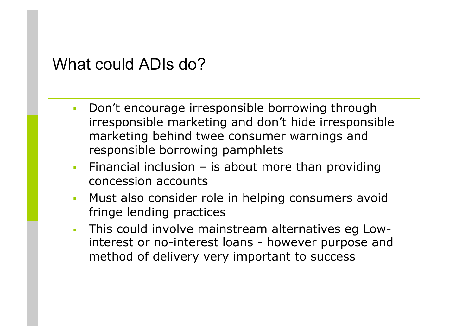#### What could ADIs do?

- **-** Don't encourage irresponsible borrowing through irresponsible marketing and don't hide irresponsible marketing behind twee consumer warnings and responsible borrowing pamphlets
- Financial inclusion  $-$  is about more than providing concession accounts
- **Must also consider role in helping consumers avoid** fringe lending practices
- This could involve mainstream alternatives eg Lowinterest or no-interest loans - however purpose and method of delivery very important to success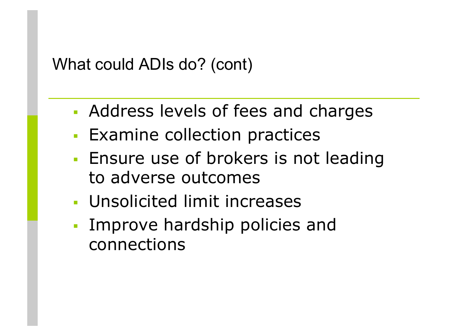#### What could ADIs do? (cont)

- Address levels of fees and charges
- **Examine collection practices**
- **Ensure use of brokers is not leading** to adverse outcomes
- Unsolicited limit increases
- **Improve hardship policies and** connections